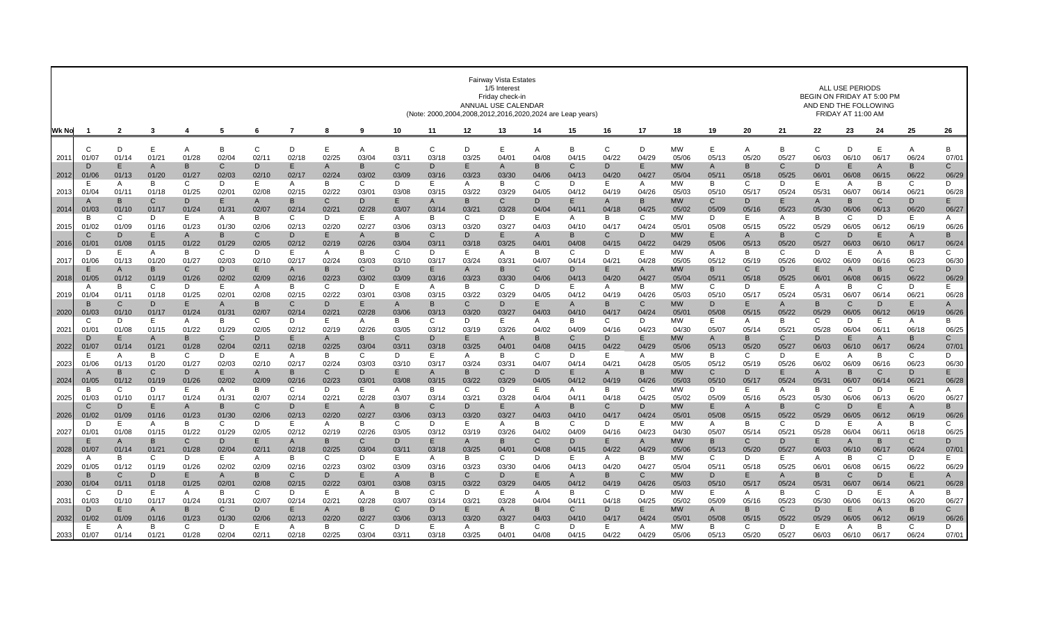|       |                       | <b>Fairway Vista Estates</b><br>1/5 Interest<br>Friday check-in<br>ANNUAL USE CALENDAR<br>(Note: 2000,2004,2008,2012,2016,2020,2024 are Leap years) |                       |                       |                         |             |                       |                       |                        |              |             |             |                       |                         |                       | ALL USE PERIODS<br>BEGIN ON FRIDAY AT 5:00 PM<br>AND END THE FOLLOWING<br>FRIDAY AT 11:00 AM |                         |                    |                       |            |                       |                         |              |                         |                       |                       |
|-------|-----------------------|-----------------------------------------------------------------------------------------------------------------------------------------------------|-----------------------|-----------------------|-------------------------|-------------|-----------------------|-----------------------|------------------------|--------------|-------------|-------------|-----------------------|-------------------------|-----------------------|----------------------------------------------------------------------------------------------|-------------------------|--------------------|-----------------------|------------|-----------------------|-------------------------|--------------|-------------------------|-----------------------|-----------------------|
| Wk No |                       | $\overline{2}$                                                                                                                                      | 3                     |                       | 5                       | 6           |                       | 8                     | -9                     | 10           | 11          | 12          | 13                    | 14                      | 15                    | 16                                                                                           | 17                      | 18                 | 19                    | 20         | 21                    | 22                      | 23           | 24                      | 25                    | 26                    |
| 2011  | $\cap$<br>01/07       | D<br>01/14                                                                                                                                          | E<br>01/21            | Α<br>01/28            | B<br>02/04              | C<br>02/11  | D<br>02/18            | E<br>02/25            | A<br>03/04             | B<br>03/11   | C<br>03/18  | D<br>03/25  | E<br>04/01            | A<br>04/08              | B<br>04/15            | C<br>04/22                                                                                   | D<br>04/29              | MW<br>05/06        | E<br>05/13            | A<br>05/20 | B<br>05/27            | $\mathsf{C}$<br>06/03   | D<br>06/10   | E<br>06/17              | Α<br>06/24            | В<br>07/01            |
| 2012  | D<br>01/06            | Е<br>01/13                                                                                                                                          | $\mathsf{A}$<br>01/20 | B<br>01/27            | C<br>02/03              | D<br>02/10  | Е<br>02/17            | A<br>02/24            | B<br>03/02             | С<br>03/09   | D<br>03/16  | E<br>03/23  | A<br>03/30            | B<br>04/06              | C<br>04/13            | D<br>04/20                                                                                   | E.<br>04/27             | <b>MW</b><br>05/04 | A<br>05/11            | B<br>05/18 | C<br>05/25            | D.<br>06/0              | E.<br>06/08  | A<br>06/15              | B<br>06/22            | $\mathsf{C}$<br>06/29 |
| 2013  | 01/04                 | A<br>01/1                                                                                                                                           | B<br>01/18            | C<br>01/25            | D<br>$02/0^{\circ}$     | Е<br>02/08  | A<br>02/15            | в<br>02/22            | C<br>03/0              | D<br>03/08   | E.<br>03/15 | A<br>03/22  | B<br>03/29            | C<br>04/05              | D<br>04/12            | Е<br>04/19                                                                                   | A<br>04/26              | МW<br>05/03        | B<br>05/10            | C<br>05/17 | D<br>05/24            | Е<br>05/3'              | A<br>06/07   | B<br>06/14              | C<br>06/21            | D<br>06/28            |
| 2014  | 01/03                 | B<br>01/10                                                                                                                                          | $\mathsf{C}$<br>01/17 | D<br>01/24            | E.<br>01/3'             | A<br>02/07  | B<br>02/14            | C<br>02/2             | D<br>02/28             | E<br>03/07   | A<br>03/14  | B<br>03/21  | C<br>03/28            | D<br>04/04              | E<br>04/1             | A<br>04/18                                                                                   | B<br>04/25              | МW<br>05/02        | C<br>05/09            | D<br>05/16 | E<br>05/23            | $\overline{A}$<br>05/30 | B<br>06/06   | $\mathsf{C}$<br>06/13   | D<br>06/20            | E.<br>06/27           |
|       | B                     | C                                                                                                                                                   | D                     | E                     | A                       | B           | C                     | D                     | E                      | Α            | B           | C           | D                     | E                       | A                     | B                                                                                            | C                       | <b>MW</b>          | D                     | E          | A                     | B                       | C            | D                       | E                     | A                     |
| 2015  | 01/02                 | 01/09<br>D                                                                                                                                          | 01/16<br>E            | 01/23<br>A            | 01/30<br>B              | 02/06<br>C  | 02/13<br>D            | 02/20<br>E            | 02/27<br>A             | 03/06<br>B   | 03/13<br>C  | 03/20<br>D  | 03/27<br>Е            | 04/03<br>A              | 04/10<br>B            | 04/17<br>C                                                                                   | 04/24<br>D              | 05/01<br><b>MW</b> | 05/08<br>E            | 05/15<br>A | 05/22<br>B            | 05/29<br>C              | 06/05<br>D   | 06/12<br>E              | 06/19<br>A            | 06/26<br>B            |
| 2016  | $01/0^3$<br>D         | 01/08<br>Е                                                                                                                                          | 01/15<br>A            | 01/22<br>B            | 01/29<br>C              | 02/05<br>D  | 02/12<br>F            | 02/19<br>A            | 02/26<br>B             | 03/04<br>C   | 03/11<br>D  | 03/18<br>E. | 03/25<br>A            | 04/0'<br>B              | 04/08<br>C            | 04/15<br>D                                                                                   | 04/22<br>E.             | 04/29<br>МW        | 05/06<br>A            | 05/13<br>B | 05/20<br>C            | 05/27<br>D              | 06/03<br>F   | 06/10<br>A              | 06/17<br>B            | 06/24<br>C            |
| 2017  | 01/06                 | 01/13<br>$\overline{A}$                                                                                                                             | 01/20<br><sub>B</sub> | 01/27<br>$\mathsf{C}$ | 02/03<br>D.             | 02/10<br>F. | 02/17<br>A            | 02/24<br><sub>B</sub> | 03/03<br>$\mathbf C$   | 03/10<br>D   | 03/17<br>F  | 03/24<br>A  | 03/31<br><sub>B</sub> | 04/07<br>$\mathcal{C}$  | 04/14<br>D            | 04/21<br>F                                                                                   | 04/28<br>$\overline{A}$ | 05/05<br><b>MW</b> | 05/12<br><sub>B</sub> | 05/19<br>C | 05/26<br>D            | 06/02<br>F              | 06/09<br>A   | 06/16<br><sub>B</sub>   | 06/23<br>$\mathsf{C}$ | 06/30<br>D            |
| 2018  | 01/05                 | 01/12                                                                                                                                               | 01/19                 | 01/26                 | 02/02                   | 02/09       | 02/16                 | 02/23                 | 03/02                  | 03/09        | 03/16       | 03/23       | 03/30                 | 04/06                   | 04/13                 | 04/20                                                                                        | 04/27                   | 05/04              | 05/11                 | 05/18      | 05/25                 | 06/01                   | 06/08        | 06/15                   | 06/22                 | 06/29                 |
| 2019  | A<br>01/04            | B<br>01/1                                                                                                                                           | C<br>01/18            | D<br>01/25            | E.<br>02/0 <sup>1</sup> | A<br>02/08  | B<br>02/15            | C<br>02/22            | D<br>03/0              | E<br>03/08   | A<br>03/15  | B<br>03/22  | C<br>03/29            | D<br>04/05              | Е<br>04/12            | A<br>04/19                                                                                   | B<br>04/26              | MW<br>05/03        | C<br>05/10            | D<br>05/17 | Е<br>05/24            | A<br>05/3               | B<br>06/07   | C<br>06/14              | D<br>06/2             | E.<br>06/28           |
| 2020  | 01/03                 | $\mathsf{C}$<br>01/10                                                                                                                               | D<br>01/17            | E<br>01/24            | A<br>01/3'              | B<br>02/07  | $\mathsf{C}$<br>02/14 | D<br>02/21            | E<br>02/28             | A<br>03/06   | B<br>03/13  | C<br>03/20  | D<br>03/27            | E<br>04/03              | $\mathsf{A}$<br>04/10 | B<br>04/17                                                                                   | $\mathsf{C}$<br>04/24   | МW<br>05/01        | D<br>05/08            | Е<br>05/15 | A<br>05/22            | в<br>05/29              | C<br>06/05   | D<br>06/12              | E<br>06/19            | $\mathsf{A}$<br>06/26 |
|       | C                     | D                                                                                                                                                   | Ε                     | A                     | B                       | C           | D                     | E.                    | A                      | B            | C           | D           | E.                    | A                       | B                     | C                                                                                            | D                       | MW                 | E.                    | A          | B                     | C                       | D            | Е                       | A                     | B                     |
| 2021  | 01/01<br>D            | 01/08<br>E                                                                                                                                          | 01/15<br>A            | 01/22<br>B            | 01/29<br>C              | 02/05<br>D  | 02/12<br>Е            | 02/19<br>A            | 02/26<br>B             | 03/05<br>C   | 03/12<br>D  | 03/19<br>E. | 03/26<br>A            | 04/02<br>B              | 04/09<br>C            | 04/16<br>D                                                                                   | 04/23<br>E              | 04/30<br><b>MW</b> | 05/07<br>A            | 05/14<br>B | 05/21<br>C            | 05/28<br>D              | 06/04<br>E   | 06/11<br>$\overline{A}$ | 06/18<br>B            | 06/25<br>C            |
| 2022  | 01/0                  | 01/14                                                                                                                                               | 01/21                 | 01/28                 | 02/04                   | 02/1        | 02/18                 | 02/25                 | 03/04                  | 03/11        | 03/18       | 03/25       | $04/0^{\circ}$        | 04/08                   | 04/15                 | 04/22                                                                                        | 04/29                   | 05/06              | 05/13                 | 05/20      | 05/2                  | 06/03                   | 06/10        | 06/17                   | 06/24                 | 07/01                 |
| 2023  | E<br>01/06            | A<br>01/13                                                                                                                                          | B<br>01/20            | C<br>01/27            | D<br>02/03              | Е<br>02/10  | A<br>02/17            | B<br>02/24            | C<br>03/03             | D<br>03/10   | E.<br>03/17 | A<br>03/24  | B<br>03/31            | C<br>04/07              | D<br>04/14            | Е<br>04/21                                                                                   | A<br>04/28              | МW<br>05/05        | B<br>05/12            | С<br>05/19 | D<br>05/26            | Е<br>06/02              | A<br>06/09   | B<br>06/16              | C<br>06/23            | D<br>06/30            |
| 2024  | $\mathbf{A}$<br>01/05 | B<br>01/12                                                                                                                                          | $\mathsf{C}$<br>01/19 | D<br>01/26            | E.<br>02/02             | A<br>02/09  | B<br>02/16            | C<br>02/23            | D<br>03/0 <sup>1</sup> | E.<br>03/08  | A<br>03/15  | B<br>03/22  | C<br>03/29            | D<br>04/05              | E<br>04/12            | A<br>04/19                                                                                   | B<br>04/26              | <b>MW</b><br>05/03 | $\mathsf{C}$<br>05/10 | D<br>05/17 | E<br>05/24            | $\mathsf{A}$<br>05/31   | B<br>06/07   | C<br>06/14              | D<br>06/21            | E.<br>06/28           |
|       | B                     | C                                                                                                                                                   | D                     | E                     | A                       | B           | C                     | D                     | E                      | $\mathsf{A}$ | B           | C           | D                     | Е                       | A                     | B                                                                                            | C                       | MW                 | D                     | E          | A                     | B                       | C            | D                       | Е                     | A                     |
| 2025  | 01/03<br>C.           | 01/10<br>D                                                                                                                                          | 01/17<br>E            | 01/24<br>A            | 01/3'<br>B              | 02/07<br>C. | 02/14<br>$\mathsf{D}$ | 02/2<br>E             | 02/28<br>A             | 03/07<br>B   | 03/14<br>C  | 03/21<br>D  | 03/28<br>Е            | 04/04<br>$\overline{A}$ | 04/1<br>B             | 04/18<br>C                                                                                   | 04/25<br>D              | 05/02<br><b>MW</b> | 05/09<br>F            | 05/16<br>A | 05/23<br><sub>B</sub> | 05/30<br>C              | 06/06<br>D   | 06/13<br>F              | 06/20<br>A            | 06/27<br>B            |
| 2026  | 01/02<br>D            | 01/09<br>Е                                                                                                                                          | 01/16<br>A            | 01/23<br>B            | 01/30<br>C              | 02/06<br>D  | 02/13<br>Е            | 02/20<br>A            | 02/27<br>B             | 03/06<br>C   | 03/13<br>D  | 03/20<br>Е  | 03/27<br>A            | 04/03<br>B              | 04/10<br>C            | 04/17<br>D                                                                                   | 04/24<br>E              | 05/01<br>МW        | 05/08<br>A            | 05/15<br>B | 05/22<br>C            | 05/29<br>D              | 06/05<br>Е   | 06/12<br>A              | 06/19<br>B            | 06/26<br>C            |
| 2027  | 01/01                 | 01/08                                                                                                                                               | 01/15                 | 01/22                 | 01/29                   | 02/05       | 02/12                 | 02/19                 | 02/26                  | 03/05        | 03/12       | 03/19       | 03/26                 | 04/02                   | 04/09                 | 04/16                                                                                        | 04/23                   | 04/30              | 05/07                 | 05/14      | 05/2                  | 05/28                   | 06/04        | 06/11                   | 06/18                 | 06/25                 |
| 2028  | E<br>01/07            | $\overline{A}$<br>01/14                                                                                                                             | B<br>01/21            | $\mathsf{C}$<br>01/28 | D.<br>02/04             | E<br>02/11  | $\mathsf{A}$<br>02/18 | B<br>02/25            | C<br>03/04             | D<br>03/11   | E<br>03/18  | A<br>03/25  | B<br>04/01            | C<br>04/08              | D<br>04/15            | E<br>04/22                                                                                   | $\overline{A}$<br>04/29 | МW<br>05/06        | <sub>B</sub><br>05/13 | С<br>05/20 | D<br>05/27            | Е<br>06/03              | A<br>06/10   | B<br>06/17              | $\mathsf{C}$<br>06/24 | D<br>07/01            |
|       | A                     | B                                                                                                                                                   | C.                    | D                     | E.                      | A           | B                     | C                     | D                      | E            | A           | B           | C                     | D                       | Е                     | A                                                                                            | B                       | MW                 | C                     | D          | F                     | A                       | <sub>R</sub> | C                       | D                     | E                     |
| 2029  | 01/05                 | 01/12<br>$\mathsf{C}$                                                                                                                               | 01/19<br>D            | 01/26<br>E            | 02/02<br>A              | 02/09<br>B  | 02/16<br>$\mathsf{C}$ | 02/23<br>D.           | 03/02<br>F             | 03/09<br>A   | 03/16<br>B  | 03/23<br>C. | 03/30<br>D            | 04/06<br>E              | 04/13<br>$\mathsf{A}$ | 04/20<br>B                                                                                   | 04/27<br>$\mathsf{C}$   | 05/04<br><b>MW</b> | 05/1'<br>D            | 05/18<br>E | 05/25<br>A            | 06/0<br>B               | 06/08<br>C   | 06/15<br>D              | 06/22<br>E            | 06/29<br>$\mathsf{A}$ |
| 2030  | 01/04                 | 01/1'                                                                                                                                               | 01/18                 | 01/25                 | 02/0 <sup>1</sup>       | 02/08       | 02/15                 | 02/22                 | 03/0                   | 03/08        | 03/15       | 03/22       | 03/29                 | 04/05                   | 04/12                 | 04/19                                                                                        | 04/26                   | 05/03              | 05/10                 | 05/17      | 05/24                 | 05/3'                   | 06/07        | 06/14                   | 06/21                 | 06/28                 |
| 2031  | C<br>01/03            | D<br>01/10                                                                                                                                          | Ε<br>01/17            | A<br>01/24            | B<br>01/3'              | C.<br>02/07 | D<br>02/14            | E.<br>02/21           | A<br>02/28             | B<br>03/07   | C<br>03/14  | D<br>03/21  | Ε<br>03/28            | A<br>04/04              | B<br>04/11            | C<br>04/18                                                                                   | D<br>04/25              | MW<br>05/02        | F<br>05/09            | A<br>05/16 | B<br>05/23            | C<br>05/30              | D<br>06/06   | Е<br>06/13              | A<br>06/20            | B<br>06/27            |
|       | D<br>01/02            | Е<br>01/09                                                                                                                                          | A<br>01/16            | B<br>01/23            | C<br>01/30              | D<br>02/06  | E<br>02/13            | A<br>02/20            | B<br>02/27             | C<br>03/06   | D<br>03/13  | E<br>03/20  | A<br>03/27            | B<br>04/03              | C<br>04/10            | D<br>04/17                                                                                   | E<br>04/24              | <b>MW</b><br>05/01 | A<br>05/08            | B<br>05/15 | C<br>05/22            | D<br>05/29              | E.<br>06/05  | $\overline{A}$<br>06/12 | B<br>06/19            | $\mathsf{C}$<br>06/26 |
| 2032  | E                     | A                                                                                                                                                   | B                     | C                     | D                       | Е           | A                     | B                     | C                      | D            | Е           | A           | B                     | C                       | D                     | Е                                                                                            | A                       | МW                 | B                     | С          | D                     | E.                      | A            | B                       | C                     | D                     |
| 2033  | 01/07                 | 01/14                                                                                                                                               | 01/21                 | 01/28                 | 02/04                   | 02/11       | 02/18                 | 02/25                 | 03/04                  | 03/11        | 03/18       | 03/25       | 04/01                 | 04/08                   | 04/15                 | 04/22                                                                                        | 04/29                   | 05/06              | 05/13                 | 05/20      | 05/27                 | 06/03                   | 06/10        | 06/17                   | 06/24                 | 07/01                 |